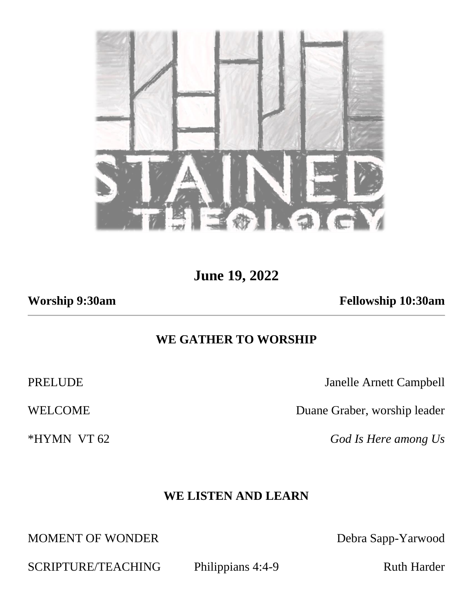

**June 19, 2022**

**Worship 9:30am Fellowship 10:30am**

## **WE GATHER TO WORSHIP**

PRELUDE Janelle Arnett Campbell

WELCOME Duane Graber, worship leader

\*HYMN VT 62 *God Is Here among Us*

# **WE LISTEN AND LEARN**

MOMENT OF WONDER Debra Sapp-Yarwood

SCRIPTURE/TEACHING Philippians 4:4-9 Ruth Harder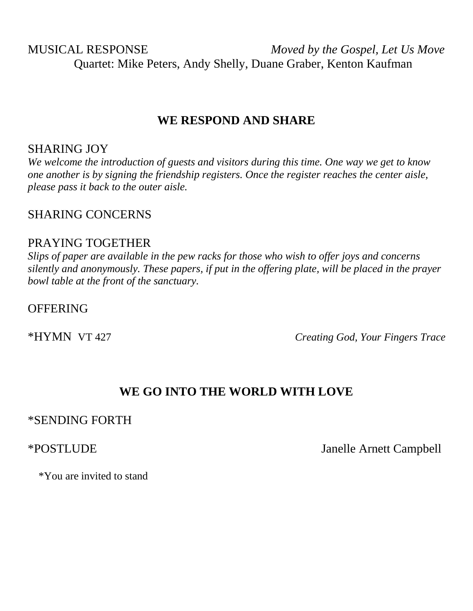MUSICAL RESPONSE *Moved by the Gospel, Let Us Move* Quartet: Mike Peters, Andy Shelly, Duane Graber, Kenton Kaufman

#### **WE RESPOND AND SHARE**

#### SHARING JOY

*We welcome the introduction of guests and visitors during this time. One way we get to know one another is by signing the friendship registers. Once the register reaches the center aisle, please pass it back to the outer aisle.*

### SHARING CONCERNS

#### PRAYING TOGETHER

*Slips of paper are available in the pew racks for those who wish to offer joys and concerns silently and anonymously. These papers, if put in the offering plate, will be placed in the prayer bowl table at the front of the sanctuary.* 

#### **OFFERING**

\*HYMN VT 427 *Creating God, Your Fingers Trace*

# **WE GO INTO THE WORLD WITH LOVE**

#### \*SENDING FORTH

\*POSTLUDE Janelle Arnett Campbell

\*You are invited to stand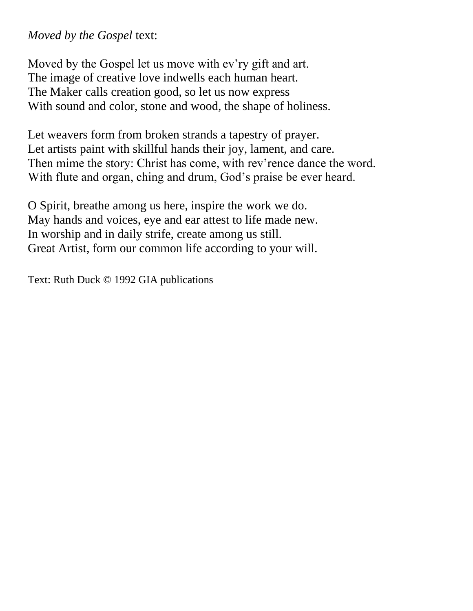# *Moved by the Gospel* text:

Moved by the Gospel let us move with ev'ry gift and art. The image of creative love indwells each human heart. The Maker calls creation good, so let us now express With sound and color, stone and wood, the shape of holiness.

Let weavers form from broken strands a tapestry of prayer. Let artists paint with skillful hands their joy, lament, and care. Then mime the story: Christ has come, with rev'rence dance the word. With flute and organ, ching and drum, God's praise be ever heard.

O Spirit, breathe among us here, inspire the work we do. May hands and voices, eye and ear attest to life made new. In worship and in daily strife, create among us still. Great Artist, form our common life according to your will.

Text: Ruth Duck © 1992 GIA publications